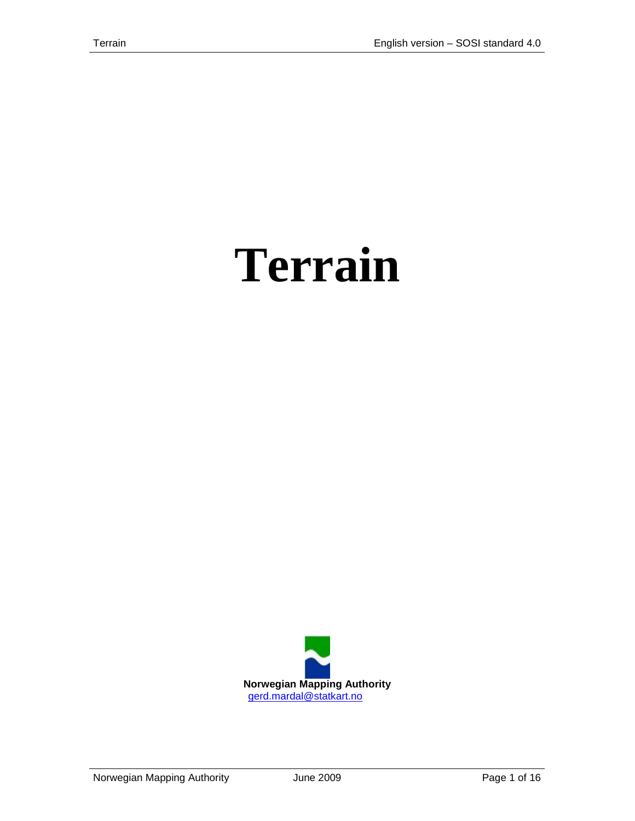# **Terrain**

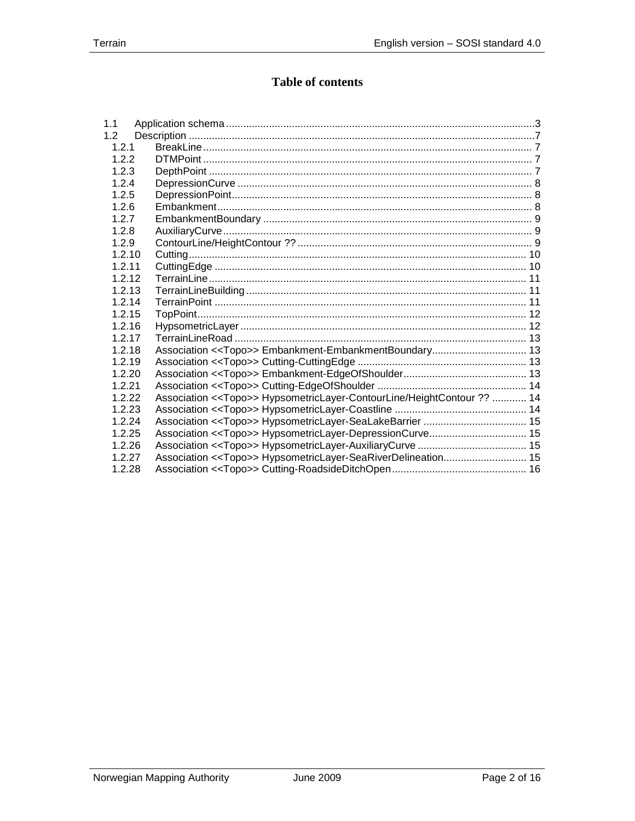## **Table of contents**

| 1.1    |                                                                                   |  |
|--------|-----------------------------------------------------------------------------------|--|
| 1.2    |                                                                                   |  |
| 1.2.1  |                                                                                   |  |
| 1.2.2  |                                                                                   |  |
| 1.2.3  |                                                                                   |  |
| 1.2.4  |                                                                                   |  |
| 1.2.5  |                                                                                   |  |
| 1.2.6  |                                                                                   |  |
| 1.2.7  |                                                                                   |  |
| 1.2.8  |                                                                                   |  |
| 1.2.9  |                                                                                   |  |
| 1.2.10 |                                                                                   |  |
| 1.2.11 |                                                                                   |  |
| 1.2.12 |                                                                                   |  |
| 1.2.13 |                                                                                   |  |
| 1.2.14 |                                                                                   |  |
| 1.2.15 |                                                                                   |  |
| 1.2.16 |                                                                                   |  |
| 1.2.17 |                                                                                   |  |
| 1.2.18 |                                                                                   |  |
| 1.2.19 |                                                                                   |  |
| 1.2.20 |                                                                                   |  |
| 1.2.21 |                                                                                   |  |
| 1.2.22 | Association < <topo>&gt; HypsometricLayer-ContourLine/HeightContour ??  14</topo> |  |
| 1.2.23 |                                                                                   |  |
| 1.2.24 |                                                                                   |  |
| 1.2.25 | Association << Topo>> HypsometricLayer-DepressionCurve 15                         |  |
| 1.2.26 |                                                                                   |  |
| 1.2.27 | Association < <topo>&gt; HypsometricLayer-SeaRiverDelineation 15</topo>           |  |
| 1.2.28 |                                                                                   |  |
|        |                                                                                   |  |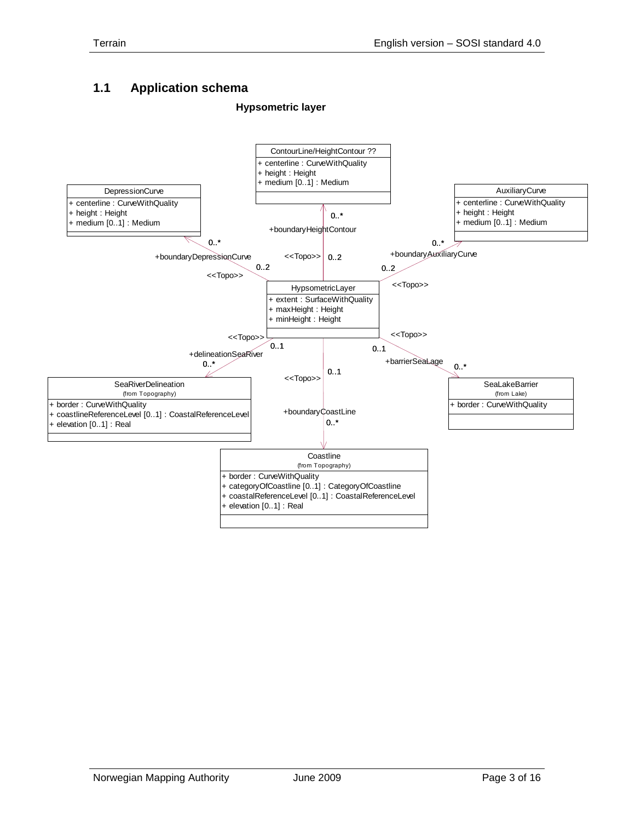# <span id="page-2-0"></span>**1.1 Application schema**

#### **Hypsometric layer**

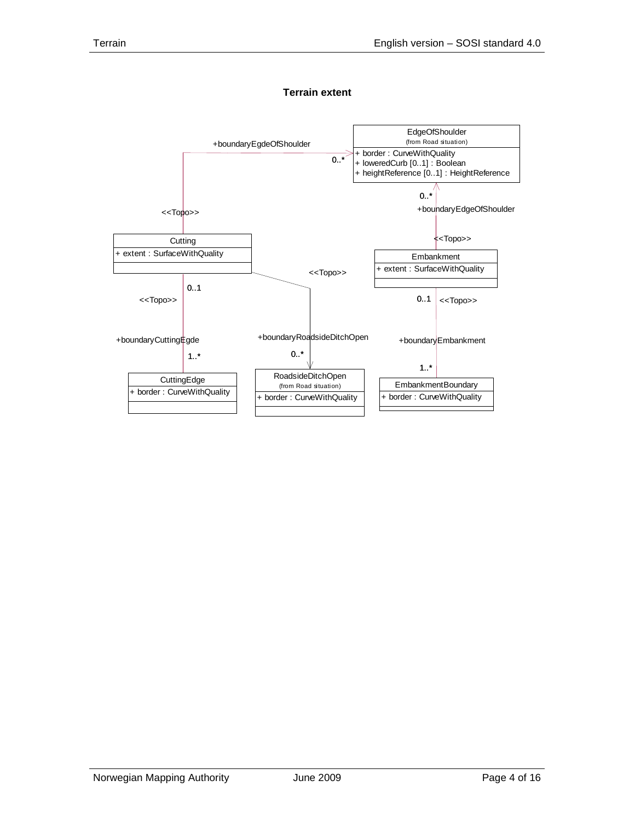

#### **Terrain extent**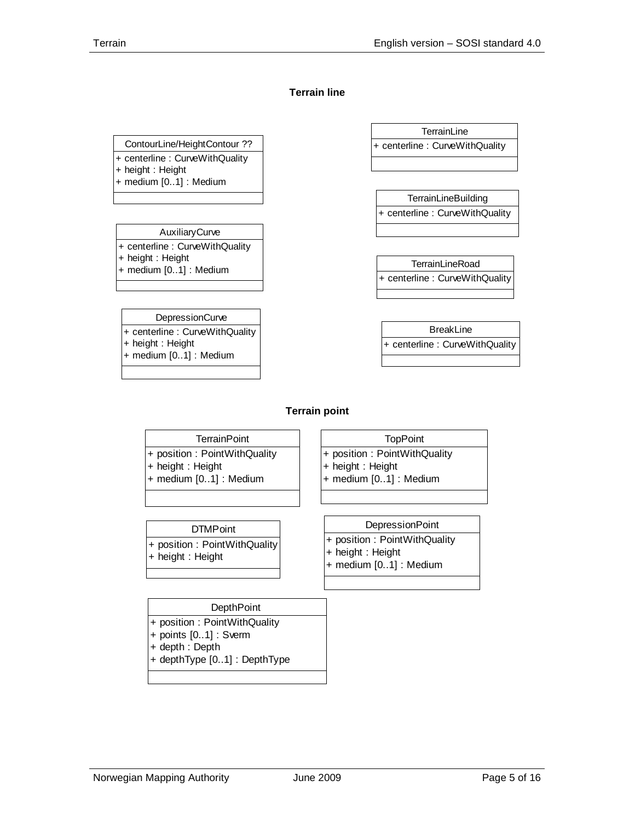#### **Terrain line**

#### ContourLine/HeightContour ??

+ centerline : CurveWithQuality

- + height : Height
- + medium [0..1] : Medium

#### AuxiliaryCurve

+ centerline : CurveWithQuality + height : Height + medium [0..1] : Medium

#### **DepressionCurve** + centerline : CurveWithQuality

- + height : Height
- + medium [0..1] : Medium

**TerrainLine** + centerline : CurveWithQuality

**TerrainLineBuilding** + centerline : CurveWithQuality

**TerrainLineRoad** + centerline : CurveWithQuality

BreakLine + centerline : CurveWithQuality

#### **Terrain point**

- **TerrainPoint**
- + position : PointWithQuality
- + height : Height
- + medium [0..1] : Medium

**DTMPoint** 

+ position : PointWithQuality + height : Height + medium [0..1] : Medium

**TopPoint** 

- **DepressionPoint**
- + position : PointWithQuality + position : PointWithQuality
	- + height : Height + medium [0..1] : Medium

#### **DepthPoint**

- + position : PointWithQuality
- + points [0..1] : Sverm
- + depth : Depth

+ height : Height

+ depthType [0..1] : DepthType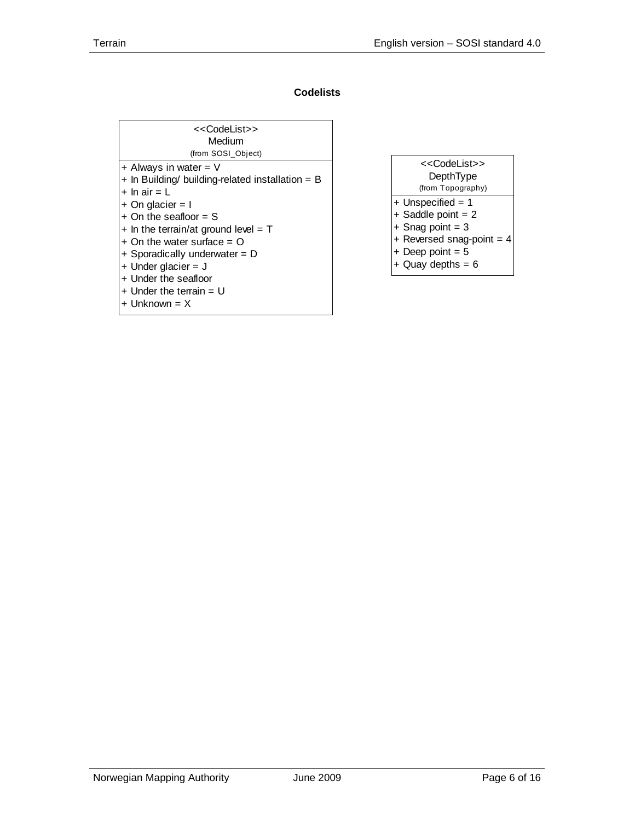## **Codelists**

| < <codelist>&gt;<br/>Medium<br/>(from SOSI_Object)</codelist>      |
|--------------------------------------------------------------------|
| $+$ Always in water = V                                            |
| $+$ In Building/ building-related installation = B<br>+ In air = L |
| $+$ On glacier = I                                                 |
| $+$ On the seafloor $=$ S                                          |
| $+$ In the terrain/at ground level = T                             |
| $+$ On the water surface = O                                       |
| + Sporadically underwater = D                                      |
| + Under glacier = $J$                                              |
| + Under the seafloor                                               |
| $+$ Under the terrain $= U$<br>$+$ Unknown = $X$                   |
|                                                                    |

| < <codelist>&gt;</codelist> |
|-----------------------------|
| DepthType                   |
| (from Topography)           |
| $+$ Unspecified = 1         |
| $+$ Saddle point = 2        |
| $+$ Snag point = 3          |
| + Reversed snag-point = $4$ |
| $+$ Deep point = 5          |
| + Quay depths = $6$         |
|                             |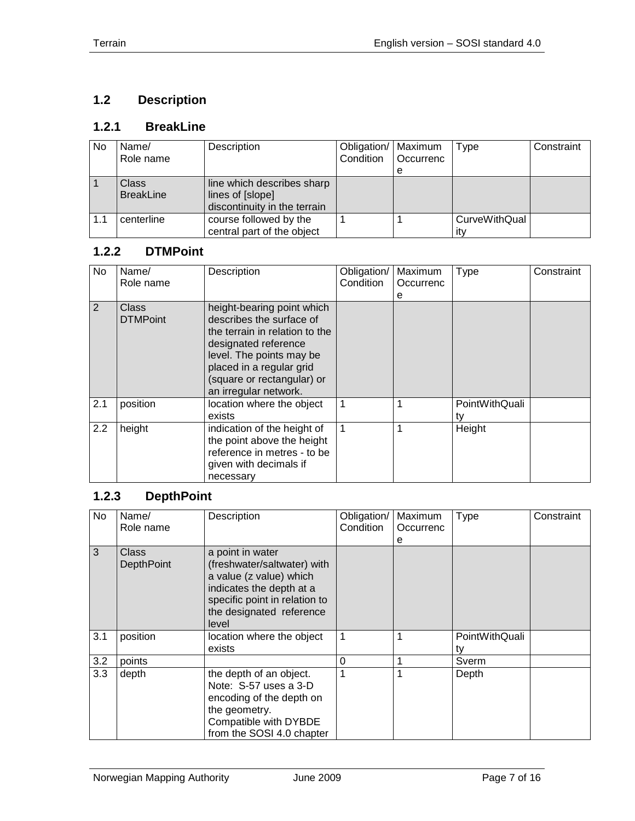# <span id="page-6-0"></span>**1.2 Description**

## <span id="page-6-1"></span>**1.2.1 BreakLine**

| <b>No</b> | Name/            | Description                  | Obligation/   Maximum |           | Type          | Constraint |
|-----------|------------------|------------------------------|-----------------------|-----------|---------------|------------|
|           | Role name        |                              | Condition             | Occurrenc |               |            |
|           |                  |                              |                       | е         |               |            |
|           | <b>Class</b>     | line which describes sharp   |                       |           |               |            |
|           | <b>BreakLine</b> | lines of [slope]             |                       |           |               |            |
|           |                  | discontinuity in the terrain |                       |           |               |            |
| 1.1       | centerline       | course followed by the       |                       |           | CurveWithQual |            |
|           |                  | central part of the object   |                       |           | ıtv           |            |

## <span id="page-6-2"></span>**1.2.2 DTMPoint**

| No. | Name/<br>Role name       | Description                                                                                                                                                                                                                     | Obligation/<br>Condition | Maximum<br>Occurrenc<br>е | <b>Type</b>          | Constraint |
|-----|--------------------------|---------------------------------------------------------------------------------------------------------------------------------------------------------------------------------------------------------------------------------|--------------------------|---------------------------|----------------------|------------|
| 2   | Class<br><b>DTMPoint</b> | height-bearing point which<br>describes the surface of<br>the terrain in relation to the<br>designated reference<br>level. The points may be<br>placed in a regular grid<br>(square or rectangular) or<br>an irregular network. |                          |                           |                      |            |
| 2.1 | position                 | location where the object<br>exists                                                                                                                                                                                             |                          |                           | PointWithQuali<br>tv |            |
| 2.2 | height                   | indication of the height of<br>the point above the height<br>reference in metres - to be<br>given with decimals if<br>necessary                                                                                                 |                          |                           | Height               |            |

## <span id="page-6-3"></span>**1.2.3 DepthPoint**

| No  | Name/<br>Role name         | Description                                                                                                                                                                  | Obligation/<br>Condition | Maximum<br>Occurrenc | <b>Type</b>          | Constraint |
|-----|----------------------------|------------------------------------------------------------------------------------------------------------------------------------------------------------------------------|--------------------------|----------------------|----------------------|------------|
|     |                            |                                                                                                                                                                              |                          | е                    |                      |            |
| 3   | Class<br><b>DepthPoint</b> | a point in water<br>(freshwater/saltwater) with<br>a value (z value) which<br>indicates the depth at a<br>specific point in relation to<br>the designated reference<br>level |                          |                      |                      |            |
| 3.1 | position                   | location where the object<br>exists                                                                                                                                          |                          |                      | PointWithQuali<br>t٧ |            |
| 3.2 | points                     |                                                                                                                                                                              | 0                        |                      | Sverm                |            |
| 3.3 | depth                      | the depth of an object.<br>Note: S-57 uses a 3-D<br>encoding of the depth on<br>the geometry.<br>Compatible with DYBDE<br>from the SOSI 4.0 chapter                          |                          |                      | Depth                |            |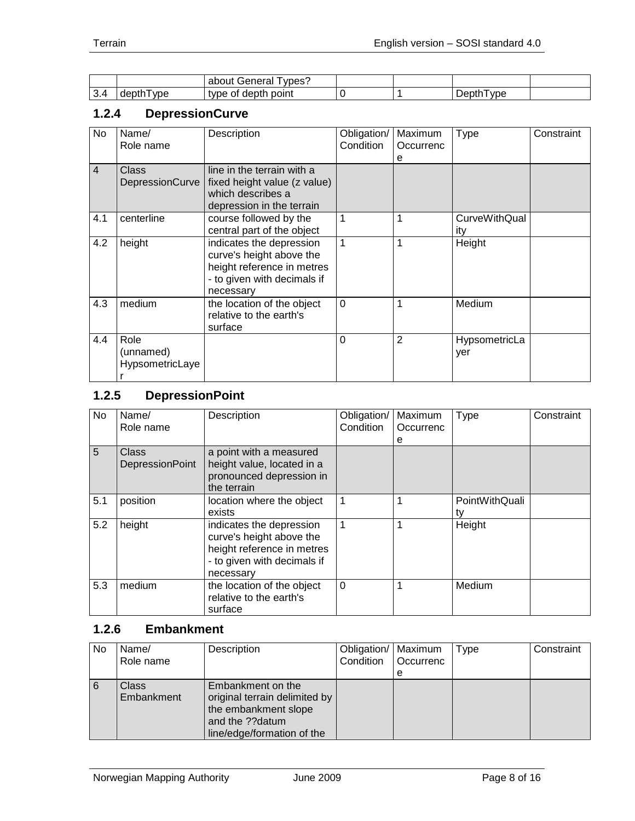|          |                                                      | . Senero<br>vpes <sup>®</sup><br>abour<br>ыd |  |                       |  |
|----------|------------------------------------------------------|----------------------------------------------|--|-----------------------|--|
| ⌒<br>٦.٩ | $\sim$ $\sim$<br>. .<br><b>VDe</b><br>וו זכונ<br>uvµ | point<br>type<br>O1<br>ner                   |  | VD <sub>E</sub><br>-- |  |

#### <span id="page-7-0"></span>**1.2.4 DepressionCurve**

| No             | Name/<br>Role name                   | Description                                                                                                                    | Obligation/<br>Condition | Maximum<br>Occurrenc<br>е | <b>Type</b>          | Constraint |
|----------------|--------------------------------------|--------------------------------------------------------------------------------------------------------------------------------|--------------------------|---------------------------|----------------------|------------|
| $\overline{4}$ | Class<br>DepressionCurve             | line in the terrain with a<br>fixed height value (z value)<br>which describes a<br>depression in the terrain                   |                          |                           |                      |            |
| 4.1            | centerline                           | course followed by the<br>central part of the object                                                                           | 1                        |                           | CurveWithQual<br>ity |            |
| 4.2            | height                               | indicates the depression<br>curve's height above the<br>height reference in metres<br>- to given with decimals if<br>necessary | 1                        |                           | Height               |            |
| 4.3            | medium                               | the location of the object<br>relative to the earth's<br>surface                                                               | $\mathbf 0$              |                           | Medium               |            |
| 4.4            | Role<br>(unnamed)<br>HypsometricLaye |                                                                                                                                | $\Omega$                 | 2                         | HypsometricLa<br>yer |            |

# <span id="page-7-1"></span>**1.2.5 DepressionPoint**

| No  | Name/                    | Description                                                                                                                    | Obligation/    | Maximum        | Type                 | Constraint |
|-----|--------------------------|--------------------------------------------------------------------------------------------------------------------------------|----------------|----------------|----------------------|------------|
|     | Role name                |                                                                                                                                | Condition      | Occurrenc<br>е |                      |            |
| 5   | Class<br>DepressionPoint | a point with a measured<br>height value, located in a<br>pronounced depression in<br>the terrain                               |                |                |                      |            |
| 5.1 | position                 | location where the object<br>exists                                                                                            | $\mathbf{1}$   | 1              | PointWithQuali<br>ty |            |
| 5.2 | height                   | indicates the depression<br>curve's height above the<br>height reference in metres<br>- to given with decimals if<br>necessary | $\overline{1}$ | 1              | Height               |            |
| 5.3 | medium                   | the location of the object<br>relative to the earth's<br>surface                                                               | $\Omega$       | 1              | Medium               |            |

#### <span id="page-7-2"></span>**1.2.6 Embankment**

| No | Name/<br>Role name  | Description                                                                                                                 | Obligation/   Maximum<br>Condition | Occurrenc | Type | Constraint |
|----|---------------------|-----------------------------------------------------------------------------------------------------------------------------|------------------------------------|-----------|------|------------|
|    |                     |                                                                                                                             |                                    | е         |      |            |
| 6  | Class<br>Embankment | Embankment on the<br>original terrain delimited by<br>the embankment slope<br>and the ??datum<br>line/edge/formation of the |                                    |           |      |            |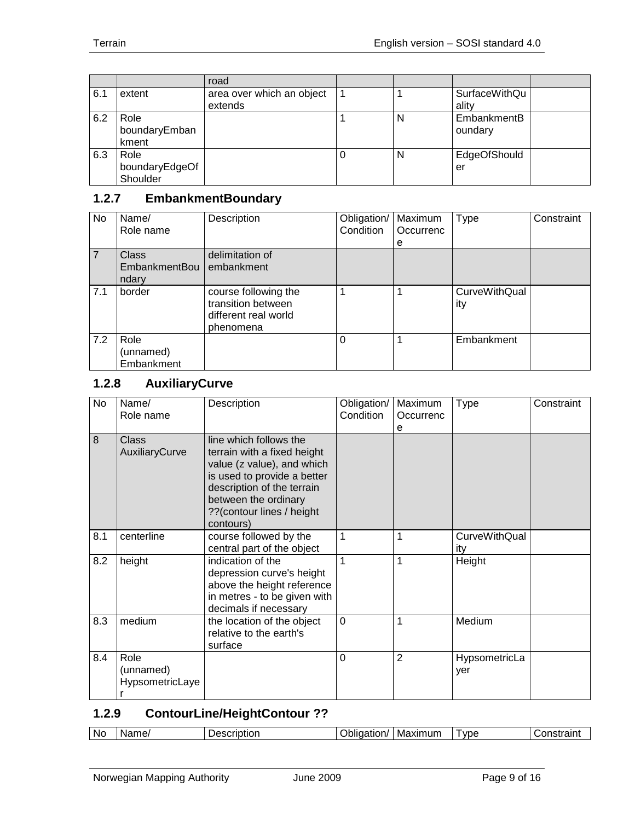|     |                                    | road                                 |   |   |                        |  |
|-----|------------------------------------|--------------------------------------|---|---|------------------------|--|
| 6.1 | extent                             | area over which an object<br>extends |   |   | SurfaceWithQu<br>ality |  |
| 6.2 | Role<br>boundaryEmban<br>kment     |                                      |   | N | EmbankmentB<br>oundary |  |
| 6.3 | Role<br>boundaryEdgeOf<br>Shoulder |                                      | U | N | EdgeOfShould<br>er     |  |

## <span id="page-8-0"></span>**1.2.7 EmbankmentBoundary**

| <b>No</b>      | Name/<br>Role name                     | Description                                                                     | Obligation/<br>Condition | Maximum<br>Occurrenc | <b>Type</b>                 | Constraint |
|----------------|----------------------------------------|---------------------------------------------------------------------------------|--------------------------|----------------------|-----------------------------|------------|
| $\overline{7}$ | <b>Class</b><br>EmbankmentBou<br>ndary | delimitation of<br>embankment                                                   |                          | е                    |                             |            |
| 7.1            | border                                 | course following the<br>transition between<br>different real world<br>phenomena |                          |                      | <b>CurveWithQual</b><br>ity |            |
| 7.2            | Role<br>(unnamed)<br>Embankment        |                                                                                 | 0                        |                      | Embankment                  |            |

# <span id="page-8-1"></span>**1.2.8 AuxiliaryCurve**

| No  | Name/<br>Role name                   | Description                                                                                                                                                                                                        | Obligation/<br>Condition | Maximum<br>Occurrenc | <b>Type</b>                 | Constraint |
|-----|--------------------------------------|--------------------------------------------------------------------------------------------------------------------------------------------------------------------------------------------------------------------|--------------------------|----------------------|-----------------------------|------------|
|     |                                      |                                                                                                                                                                                                                    |                          | e                    |                             |            |
| 8   | Class<br>AuxiliaryCurve              | line which follows the<br>terrain with a fixed height<br>value (z value), and which<br>is used to provide a better<br>description of the terrain<br>between the ordinary<br>??(contour lines / height<br>contours) |                          |                      |                             |            |
| 8.1 | centerline                           | course followed by the<br>central part of the object                                                                                                                                                               | 1                        | 1                    | <b>CurveWithQual</b><br>ity |            |
| 8.2 | height                               | indication of the<br>depression curve's height<br>above the height reference<br>in metres - to be given with<br>decimals if necessary                                                                              | 1                        | 1                    | Height                      |            |
| 8.3 | medium                               | the location of the object<br>relative to the earth's<br>surface                                                                                                                                                   | $\mathbf 0$              | 1                    | Medium                      |            |
| 8.4 | Role<br>(unnamed)<br>HypsometricLaye |                                                                                                                                                                                                                    | $\Omega$                 | $\overline{2}$       | HypsometricLa<br>yer        |            |

## <span id="page-8-2"></span>**1.2.9 ContourLine/HeightContour ??**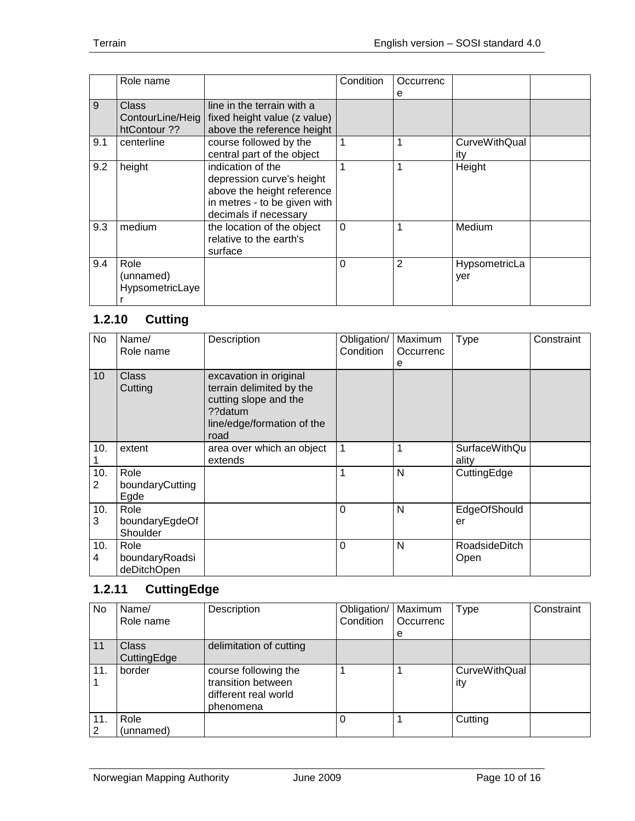|     | Role name       |                                                 | Condition | Occurrenc |                      |  |
|-----|-----------------|-------------------------------------------------|-----------|-----------|----------------------|--|
|     |                 |                                                 |           | e         |                      |  |
| 9   | Class           | line in the terrain with a                      |           |           |                      |  |
|     |                 | ContourLine/Heig   fixed height value (z value) |           |           |                      |  |
|     | htContour ??    | above the reference height                      |           |           |                      |  |
| 9.1 | centerline      | course followed by the                          |           |           | <b>CurveWithQual</b> |  |
|     |                 | central part of the object                      |           |           | ity                  |  |
| 9.2 | height          | indication of the                               |           | 1         | Height               |  |
|     |                 | depression curve's height                       |           |           |                      |  |
|     |                 | above the height reference                      |           |           |                      |  |
|     |                 | in metres - to be given with                    |           |           |                      |  |
|     |                 | decimals if necessary                           |           |           |                      |  |
| 9.3 | medium          | the location of the object                      | $\Omega$  | 1         | Medium               |  |
|     |                 | relative to the earth's                         |           |           |                      |  |
|     |                 | surface                                         |           |           |                      |  |
| 9.4 | Role            |                                                 | $\Omega$  | 2         | HypsometricLa        |  |
|     | (unnamed)       |                                                 |           |           | yer                  |  |
|     | HypsometricLaye |                                                 |           |           |                      |  |
|     |                 |                                                 |           |           |                      |  |

# <span id="page-9-0"></span>**1.2.10 Cutting**

| No       | Name/<br>Role name                    | Description                                                                                                                  | Obligation/<br>Condition | Maximum<br>Occurrenc<br>е | <b>Type</b>                   | Constraint |
|----------|---------------------------------------|------------------------------------------------------------------------------------------------------------------------------|--------------------------|---------------------------|-------------------------------|------------|
| 10       | <b>Class</b><br>Cutting               | excavation in original<br>terrain delimited by the<br>cutting slope and the<br>??datum<br>line/edge/formation of the<br>road |                          |                           |                               |            |
| 10.      | extent                                | area over which an object<br>extends                                                                                         | $\mathbf{1}$             | 1                         | <b>SurfaceWithQu</b><br>ality |            |
| 10.<br>2 | Role<br>boundaryCutting<br>Egde       |                                                                                                                              | 1                        | N                         | CuttingEdge                   |            |
| 10.<br>3 | Role<br>boundaryEgdeOf<br>Shoulder    |                                                                                                                              | $\overline{0}$           | N                         | EdgeOfShould<br>er            |            |
| 10.<br>4 | Role<br>boundaryRoadsi<br>deDitchOpen |                                                                                                                              | $\mathbf 0$              | N                         | <b>RoadsideDitch</b><br>Open  |            |

# <span id="page-9-1"></span>**1.2.11 CuttingEdge**

| <b>No</b> | Name/<br>Role name   | Description                                                                     | Obligation/<br>Condition | Maximum<br>Occurrenc<br>e | Type                        | Constraint |
|-----------|----------------------|---------------------------------------------------------------------------------|--------------------------|---------------------------|-----------------------------|------------|
| 11        | Class<br>CuttingEdge | delimitation of cutting                                                         |                          |                           |                             |            |
| 11.       | border               | course following the<br>transition between<br>different real world<br>phenomena |                          |                           | <b>CurveWithQual</b><br>ity |            |
| 11.<br>2  | Role<br>(unnamed)    |                                                                                 | $\theta$                 |                           | Cutting                     |            |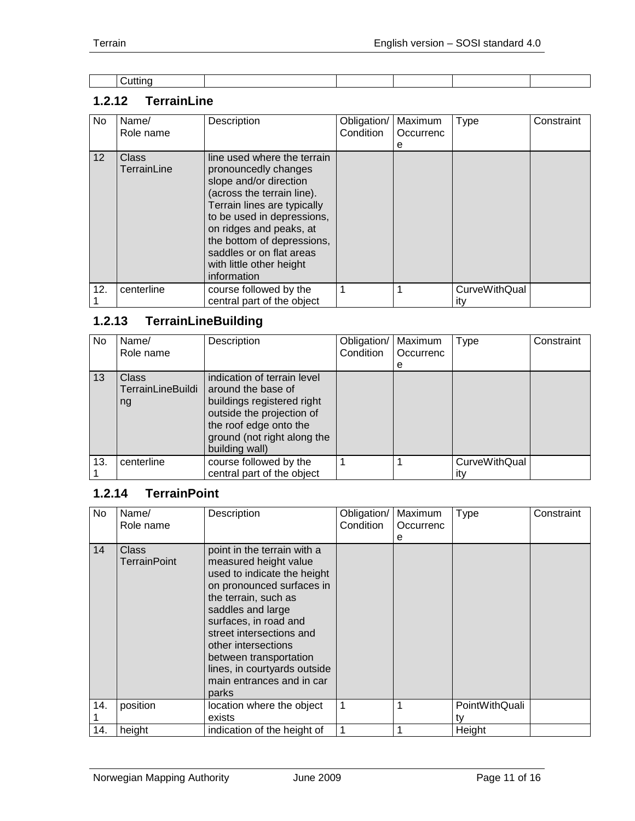| . .<br>.<br>.uttine<br>-----<br>. |  |  |  |
|-----------------------------------|--|--|--|

## <span id="page-10-0"></span>**1.2.12 TerrainLine**

| No.             | Name/<br>Role name          | Description                                                                                                                                                                                                                                                                                              | Obligation/<br>Condition | Maximum<br>Occurrenc<br>е | <b>Type</b>                 | Constraint |
|-----------------|-----------------------------|----------------------------------------------------------------------------------------------------------------------------------------------------------------------------------------------------------------------------------------------------------------------------------------------------------|--------------------------|---------------------------|-----------------------------|------------|
| 12 <sup>2</sup> | <b>Class</b><br>TerrainLine | line used where the terrain<br>pronouncedly changes<br>slope and/or direction<br>(across the terrain line).<br>Terrain lines are typically<br>to be used in depressions,<br>on ridges and peaks, at<br>the bottom of depressions,<br>saddles or on flat areas<br>with little other height<br>information |                          |                           |                             |            |
| 12.             | centerline                  | course followed by the<br>central part of the object                                                                                                                                                                                                                                                     |                          |                           | <b>CurveWithQual</b><br>ıtv |            |

# <span id="page-10-1"></span>**1.2.13 TerrainLineBuilding**

| No  | Name/             | Description                 | Obligation/ | Maximum   | Type          | Constraint |
|-----|-------------------|-----------------------------|-------------|-----------|---------------|------------|
|     | Role name         |                             | Condition   | Occurrenc |               |            |
|     |                   |                             |             | e         |               |            |
| 13  | <b>Class</b>      | indication of terrain level |             |           |               |            |
|     | TerrainLineBuildi | around the base of          |             |           |               |            |
|     | ng                | buildings registered right  |             |           |               |            |
|     |                   | outside the projection of   |             |           |               |            |
|     |                   | the roof edge onto the      |             |           |               |            |
|     |                   | ground (not right along the |             |           |               |            |
|     |                   | building wall)              |             |           |               |            |
| 13. | centerline        | course followed by the      |             |           | CurveWithQual |            |
|     |                   | central part of the object  |             |           | itv           |            |

## <span id="page-10-2"></span>**1.2.14 TerrainPoint**

| No  | Name/<br>Role name           | Description                                                                                                                                                                                                                                                                                                                               | Obligation/<br>Condition | Maximum<br>Occurrenc<br>е | <b>Type</b>          | Constraint |
|-----|------------------------------|-------------------------------------------------------------------------------------------------------------------------------------------------------------------------------------------------------------------------------------------------------------------------------------------------------------------------------------------|--------------------------|---------------------------|----------------------|------------|
| 14  | Class<br><b>TerrainPoint</b> | point in the terrain with a<br>measured height value<br>used to indicate the height<br>on pronounced surfaces in<br>the terrain, such as<br>saddles and large<br>surfaces, in road and<br>street intersections and<br>other intersections<br>between transportation<br>lines, in courtyards outside<br>main entrances and in car<br>parks |                          |                           |                      |            |
| 14. | position                     | location where the object<br>exists                                                                                                                                                                                                                                                                                                       |                          |                           | PointWithQuali<br>t٧ |            |
| 14. | height                       | indication of the height of                                                                                                                                                                                                                                                                                                               |                          |                           | Height               |            |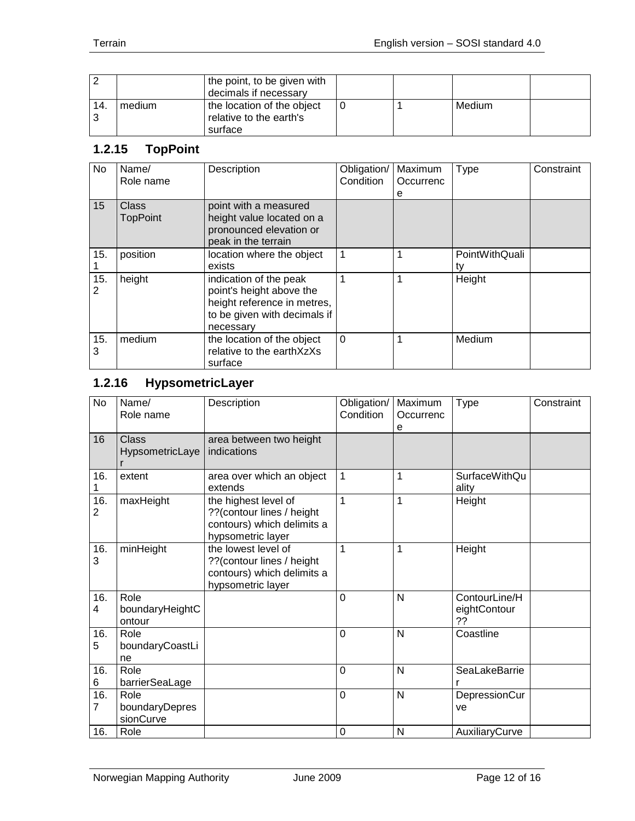|     |        | the point, to be given with<br>decimals if necessary             |  |        |  |
|-----|--------|------------------------------------------------------------------|--|--------|--|
| 14. | medium | the location of the object<br>relative to the earth's<br>surface |  | Medium |  |

# <span id="page-11-0"></span>**1.2.15 TopPoint**

| No       | Name/<br>Role name       | Description                                                                                                                    | Obligation/<br>Condition | Maximum<br>Occurrenc | Type                 | Constraint |
|----------|--------------------------|--------------------------------------------------------------------------------------------------------------------------------|--------------------------|----------------------|----------------------|------------|
| 15       | Class<br><b>TopPoint</b> | point with a measured<br>height value located on a<br>pronounced elevation or<br>peak in the terrain                           |                          | e                    |                      |            |
| 15.      | position                 | location where the object<br>exists                                                                                            |                          |                      | PointWithQuali<br>tv |            |
| 15.<br>2 | height                   | indication of the peak<br>point's height above the<br>height reference in metres,<br>to be given with decimals if<br>necessary |                          |                      | Height               |            |
| 15.<br>3 | medium                   | the location of the object<br>relative to the earthXzXs<br>surface                                                             | $\Omega$                 |                      | Medium               |            |

## <span id="page-11-1"></span>**1.2.16 HypsometricLayer**

| <b>No</b>             | Name/<br>Role name                  | Description                                                                                          | Obligation/<br>Condition | Maximum<br>Occurrenc<br>e | Type                                | Constraint |
|-----------------------|-------------------------------------|------------------------------------------------------------------------------------------------------|--------------------------|---------------------------|-------------------------------------|------------|
| 16                    | <b>Class</b><br>HypsometricLaye     | area between two height<br>indications                                                               |                          |                           |                                     |            |
| 16.<br>1              | extent                              | area over which an object<br>extends                                                                 | 1                        | 1                         | <b>SurfaceWithQu</b><br>ality       |            |
| 16.<br>$\overline{2}$ | maxHeight                           | the highest level of<br>??(contour lines / height<br>contours) which delimits a<br>hypsometric layer | 1                        | 1                         | Height                              |            |
| 16.<br>3              | minHeight                           | the lowest level of<br>?? (contour lines / height<br>contours) which delimits a<br>hypsometric layer | 1                        | 1                         | Height                              |            |
| 16.<br>4              | Role<br>boundaryHeightC<br>ontour   |                                                                                                      | 0                        | N                         | ContourLine/H<br>eightContour<br>?? |            |
| 16.<br>5              | Role<br>boundaryCoastLi<br>ne       |                                                                                                      | $\overline{0}$           | $\mathsf{N}$              | Coastline                           |            |
| 16.<br>6              | Role<br>barrierSeaLage              |                                                                                                      | $\overline{0}$           | N                         | SeaLakeBarrie                       |            |
| 16.<br>$\overline{7}$ | Role<br>boundaryDepres<br>sionCurve |                                                                                                      | $\mathbf 0$              | N                         | DepressionCur<br>ve                 |            |
| 16.                   | Role                                |                                                                                                      | 0                        | N                         | AuxiliaryCurve                      |            |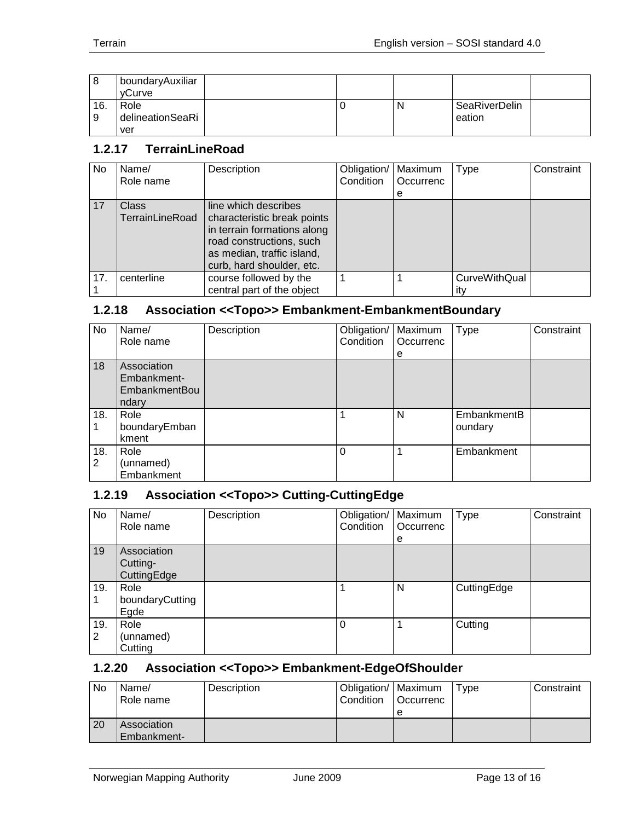| 8   | I boundaryAuxiliar<br>vCurve |  |   |               |  |
|-----|------------------------------|--|---|---------------|--|
| 16. | Role                         |  | N | SeaRiverDelin |  |
| 9   | delineationSeaRi             |  |   | eation        |  |
|     | ver                          |  |   |               |  |

## <span id="page-12-0"></span>**1.2.17 TerrainLineRoad**

| No. | Name/<br>Role name                     | Description                                                                                                                                                               | Obligation/<br>Condition | Maximum<br>Occurrenc<br>e | Type                        | Constraint |
|-----|----------------------------------------|---------------------------------------------------------------------------------------------------------------------------------------------------------------------------|--------------------------|---------------------------|-----------------------------|------------|
| 17  | <b>Class</b><br><b>TerrainLineRoad</b> | line which describes<br>characteristic break points<br>in terrain formations along<br>road constructions, such<br>as median, traffic island,<br>curb, hard shoulder, etc. |                          |                           |                             |            |
| 17. | centerline                             | course followed by the<br>central part of the object                                                                                                                      |                          |                           | <b>CurveWithQual</b><br>itv |            |

## <span id="page-12-1"></span>**1.2.18 Association <<Topo>> Embankment-EmbankmentBoundary**

| No       | Name/<br>Role name                                          | Description | Obligation/<br>Condition | Maximum<br>Occurrenc<br>е | <b>Type</b>            | Constraint |
|----------|-------------------------------------------------------------|-------------|--------------------------|---------------------------|------------------------|------------|
| 18       | Association<br>Embankment-<br><b>EmbankmentBou</b><br>ndary |             |                          |                           |                        |            |
| 18.      | Role<br>boundaryEmban<br>kment                              |             |                          | N                         | EmbankmentB<br>oundary |            |
| 18.<br>2 | Role<br>(unnamed)<br>Embankment                             |             | $\Omega$                 |                           | Embankment             |            |

## <span id="page-12-2"></span>**1.2.19 Association <<Topo>> Cutting-CuttingEdge**

| No       | Name/<br>Role name                     | Description | Obligation/   Maximum<br>Condition | <b>Occurrenc</b><br>e | <b>Type</b> | Constraint |
|----------|----------------------------------------|-------------|------------------------------------|-----------------------|-------------|------------|
| 19       | Association<br>Cutting-<br>CuttingEdge |             |                                    |                       |             |            |
| 19.      | Role<br>boundaryCutting<br>Egde        |             |                                    | N                     | CuttingEdge |            |
| 19.<br>2 | Role<br>(unnamed)<br>Cutting           |             | $\Omega$                           |                       | Cutting     |            |

#### <span id="page-12-3"></span>**1.2.20 Association <<Topo>> Embankment-EdgeOfShoulder**

| No | Name/<br>Role name         | Description | Obligation/   Maximum<br>Condition | <b>Occurrenc</b><br>e | Type | Constraint |
|----|----------------------------|-------------|------------------------------------|-----------------------|------|------------|
| 20 | Association<br>Embankment- |             |                                    |                       |      |            |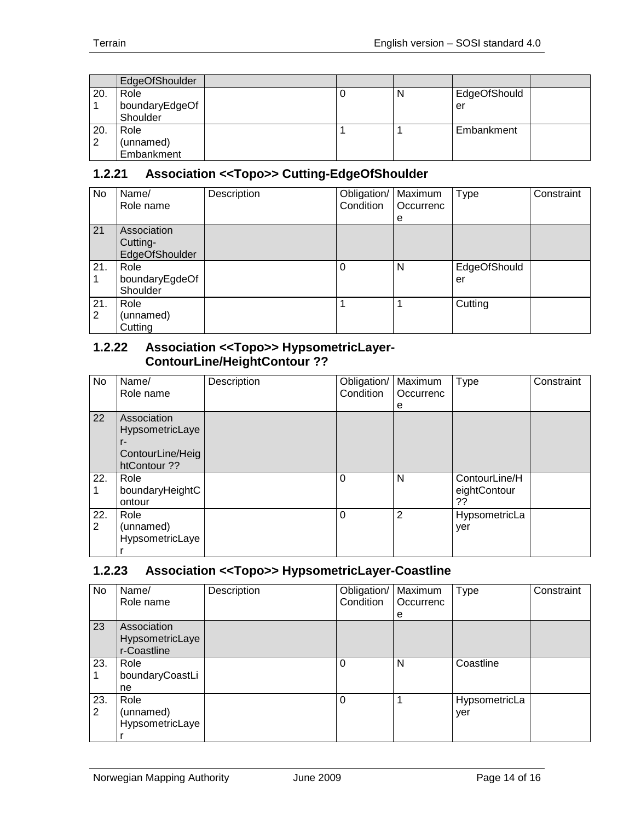|     | EdgeOfShoulder |  |   |              |  |
|-----|----------------|--|---|--------------|--|
| 20. | Role           |  | N | EdgeOfShould |  |
|     | boundaryEdgeOf |  |   | er           |  |
|     | Shoulder       |  |   |              |  |
| 20. | Role           |  |   | Embankment   |  |
| 2   | (unnamed)      |  |   |              |  |
|     | Embankment     |  |   |              |  |

## <span id="page-13-0"></span>**1.2.21 Association <<Topo>> Cutting-EdgeOfShoulder**

| No       | Name/<br>Role name                        | Description | Obligation/<br>Condition | Maximum<br>Occurrenc<br>е | <b>Type</b>        | Constraint |
|----------|-------------------------------------------|-------------|--------------------------|---------------------------|--------------------|------------|
| 21       | Association<br>Cutting-<br>EdgeOfShoulder |             |                          |                           |                    |            |
| 21.      | Role<br>boundaryEgdeOf<br>Shoulder        |             | 0                        | N                         | EdgeOfShould<br>er |            |
| 21.<br>2 | Role<br>(unnamed)<br>Cutting              |             |                          |                           | Cutting            |            |

#### <span id="page-13-1"></span>**1.2.22 Association <<Topo>> HypsometricLayer-ContourLine/HeightContour ??**

| No                    | Name/<br>Role name                                                       | Description | Obligation/<br>Condition | Maximum<br>Occurrenc<br>е | <b>Type</b>                         | Constraint |
|-----------------------|--------------------------------------------------------------------------|-------------|--------------------------|---------------------------|-------------------------------------|------------|
| 22                    | Association<br>HypsometricLaye<br>r-<br>ContourLine/Heig<br>htContour ?? |             |                          |                           |                                     |            |
| 22.                   | Role<br>boundaryHeightC<br>ontour                                        |             | 0                        | N                         | ContourLine/H<br>eightContour<br>?? |            |
| 22.<br>$\overline{2}$ | Role<br>(unnamed)<br>HypsometricLaye                                     |             | $\Omega$                 | 2                         | HypsometricLa<br>yer                |            |

## <span id="page-13-2"></span>**1.2.23 Association <<Topo>> HypsometricLayer-Coastline**

| No.      | Name/<br>Role name                            | Description | Obligation/   Maximum<br>Condition | Occurrenc<br>е | Type                 | Constraint |
|----------|-----------------------------------------------|-------------|------------------------------------|----------------|----------------------|------------|
| 23       | Association<br>HypsometricLaye<br>r-Coastline |             |                                    |                |                      |            |
| 23.      | Role<br>boundaryCoastLi<br>ne                 |             | $\Omega$                           | N              | Coastline            |            |
| 23.<br>2 | Role<br>(unnamed)<br>HypsometricLaye          |             | $\Omega$                           |                | HypsometricLa<br>yer |            |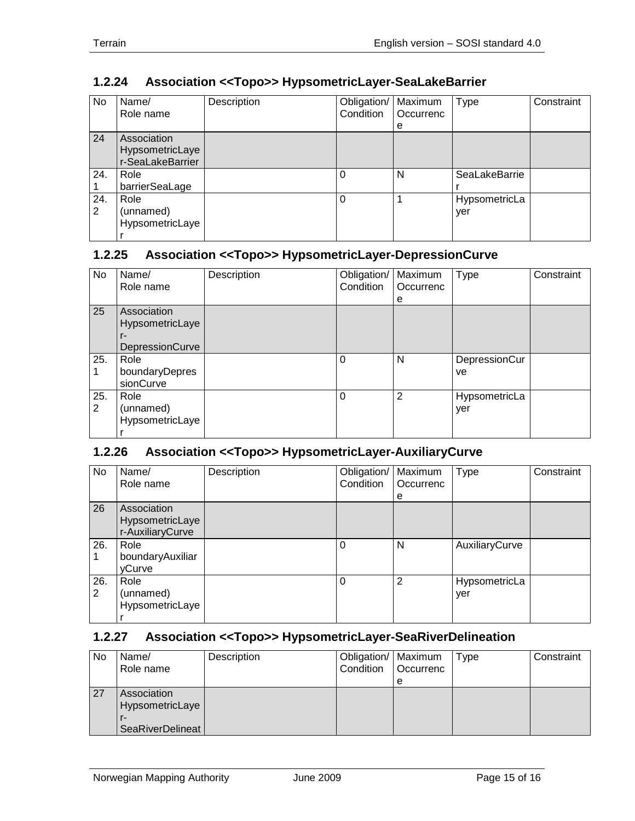| No       | Name/<br>Role name                                 | Description | Obligation/<br><b>Condition</b> | Maximum<br>Occurrenc<br>е | <b>Type</b>          | Constraint |
|----------|----------------------------------------------------|-------------|---------------------------------|---------------------------|----------------------|------------|
| 24       | Association<br>HypsometricLaye<br>r-SeaLakeBarrier |             |                                 |                           |                      |            |
| 24.      | Role<br>barrierSeaLage                             |             | 0                               | N                         | SeaLakeBarrie        |            |
| 24.<br>2 | Role<br>(unnamed)<br>HypsometricLaye               |             | 0                               |                           | HypsometricLa<br>yer |            |

## <span id="page-14-0"></span>**1.2.24 Association <<Topo>> HypsometricLayer-SeaLakeBarrier**

## <span id="page-14-1"></span>**1.2.25 Association <<Topo>> HypsometricLayer-DepressionCurve**

| No       | Name/<br>Role name                                      | Description | Obligation/<br>Condition | Maximum<br>Occurrenc<br>е | <b>Type</b>          | Constraint |
|----------|---------------------------------------------------------|-------------|--------------------------|---------------------------|----------------------|------------|
| 25       | Association<br>HypsometricLaye<br>r-<br>DepressionCurve |             |                          |                           |                      |            |
| 25.      | Role<br>boundaryDepres<br>sionCurve                     |             | 0                        | N                         | DepressionCur<br>ve. |            |
| 25.<br>2 | Role<br>(unnamed)<br>HypsometricLaye                    |             | 0                        | 2                         | HypsometricLa<br>yer |            |

## <span id="page-14-2"></span>**1.2.26 Association <<Topo>> HypsometricLayer-AuxiliaryCurve**

| No       | Name/<br>Role name                                 | Description | Obligation/   Maximum<br>Condition | Occurrenc      | <b>Type</b>          | Constraint |
|----------|----------------------------------------------------|-------------|------------------------------------|----------------|----------------------|------------|
|          |                                                    |             |                                    | e              |                      |            |
| 26       | Association<br>HypsometricLaye<br>r-AuxiliaryCurve |             |                                    |                |                      |            |
| 26.      | Role<br>boundaryAuxiliar<br>yCurve                 |             | $\Omega$                           | N              | AuxiliaryCurve       |            |
| 26.<br>2 | Role<br>(unnamed)<br>HypsometricLaye               |             | $\Omega$                           | $\overline{2}$ | HypsometricLa<br>yer |            |

## <span id="page-14-3"></span>**1.2.27 Association <<Topo>> HypsometricLayer-SeaRiverDelineation**

| No | Name/<br>Role name                                 | Description | Obligation/   Maximum<br>Condition | l Occurrenc | Type | Constraint |
|----|----------------------------------------------------|-------------|------------------------------------|-------------|------|------------|
| 27 | Association<br>HypsometricLaye<br>SeaRiverDelineat |             |                                    | е           |      |            |